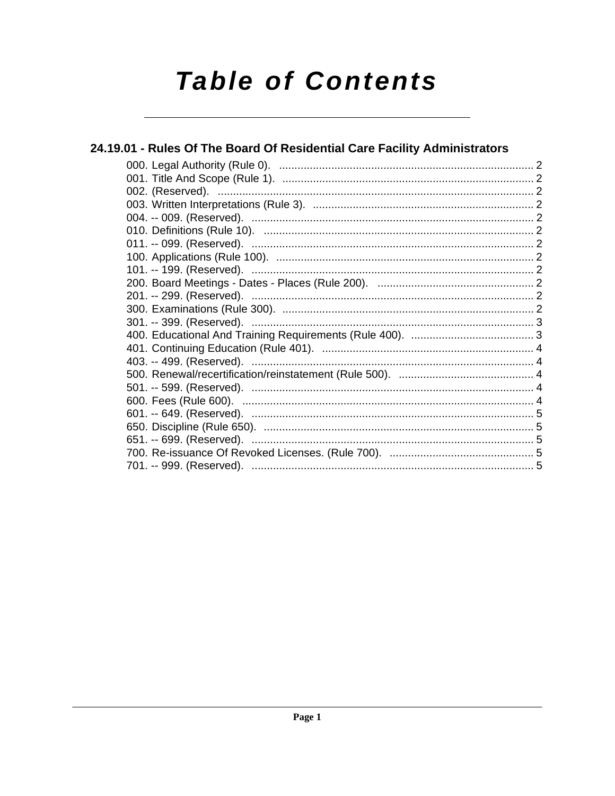# **Table of Contents**

| 24.19.01 - Rules Of The Board Of Residential Care Facility Administrators |  |
|---------------------------------------------------------------------------|--|
|                                                                           |  |
|                                                                           |  |
|                                                                           |  |
|                                                                           |  |
|                                                                           |  |
|                                                                           |  |
|                                                                           |  |
|                                                                           |  |
|                                                                           |  |
|                                                                           |  |
|                                                                           |  |
|                                                                           |  |
|                                                                           |  |
|                                                                           |  |
|                                                                           |  |
|                                                                           |  |
|                                                                           |  |
|                                                                           |  |
|                                                                           |  |
|                                                                           |  |
|                                                                           |  |
|                                                                           |  |
|                                                                           |  |
|                                                                           |  |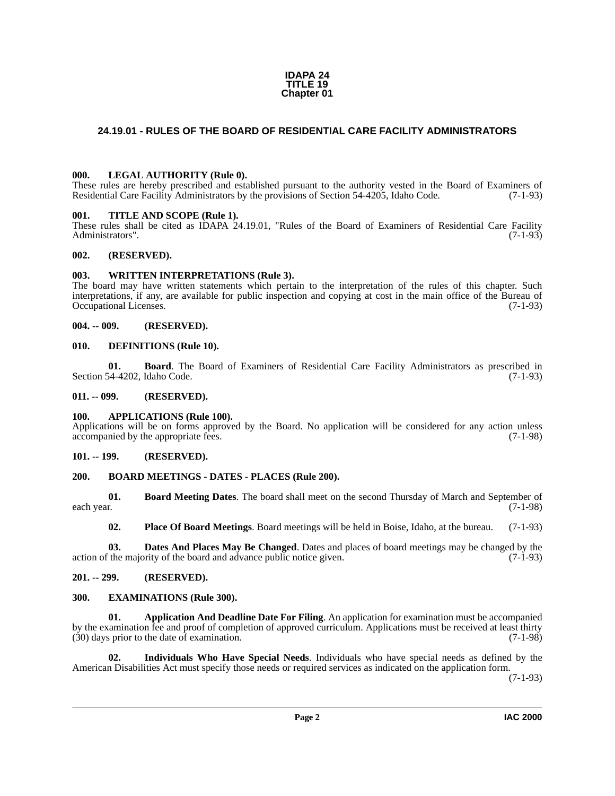#### **IDAPA 24 TITLE 19 Chapter 01**

#### <span id="page-1-0"></span>**24.19.01 - RULES OF THE BOARD OF RESIDENTIAL CARE FACILITY ADMINISTRATORS**

#### <span id="page-1-22"></span><span id="page-1-1"></span>**000. LEGAL AUTHORITY (Rule 0).**

These rules are hereby prescribed and established pursuant to the authority vested in the Board of Examiners of Residential Care Facility Administrators by the provisions of Section 54-4205, Idaho Code. (7-1-93)

#### <span id="page-1-24"></span><span id="page-1-2"></span>**001. TITLE AND SCOPE (Rule 1).**

These rules shall be cited as IDAPA 24.19.01, "Rules of the Board of Examiners of Residential Care Facility Administrators". (7-1-93)

#### <span id="page-1-3"></span>**002. (RESERVED).**

#### <span id="page-1-25"></span><span id="page-1-4"></span>**003. WRITTEN INTERPRETATIONS (Rule 3).**

The board may have written statements which pertain to the interpretation of the rules of this chapter. Such interpretations, if any, are available for public inspection and copying at cost in the main office of the Bureau of Occupational Licenses.

#### <span id="page-1-5"></span>**004. -- 009. (RESERVED).**

#### <span id="page-1-19"></span><span id="page-1-6"></span>**010. DEFINITIONS (Rule 10).**

<span id="page-1-15"></span>**01. Board**. The Board of Examiners of Residential Care Facility Administrators as prescribed in Section 54-4202, Idaho Code. (7-1-93)

#### <span id="page-1-7"></span>**011. -- 099. (RESERVED).**

#### <span id="page-1-14"></span><span id="page-1-8"></span>**100. APPLICATIONS (Rule 100).**

Applications will be on forms approved by the Board. No application will be considered for any action unless accompanied by the appropriate fees. (7-1-98) accompanied by the appropriate fees.

#### <span id="page-1-9"></span>**101. -- 199. (RESERVED).**

#### <span id="page-1-17"></span><span id="page-1-10"></span>**200. BOARD MEETINGS - DATES - PLACES (Rule 200).**

**01. Board Meeting Dates**. The board shall meet on the second Thursday of March and September of each year. (7-1-98) each year. (7-1-98)

<span id="page-1-23"></span><span id="page-1-18"></span><span id="page-1-16"></span>**02. Place Of Board Meetings**. Board meetings will be held in Boise, Idaho, at the bureau. (7-1-93)

**03. Dates And Places May Be Changed**. Dates and places of board meetings may be changed by the interval in the majority of the board and advance public notice given. action of the majority of the board and advance public notice given.

#### <span id="page-1-11"></span>**201. -- 299. (RESERVED).**

#### <span id="page-1-20"></span><span id="page-1-12"></span>**300. EXAMINATIONS (Rule 300).**

<span id="page-1-13"></span>**01. Application And Deadline Date For Filing**. An application for examination must be accompanied by the examination fee and proof of completion of approved curriculum. Applications must be received at least thirty (30) days prior to the date of examination. (7-1-98)  $(30)$  days prior to the date of examination.

<span id="page-1-21"></span>**02. Individuals Who Have Special Needs**. Individuals who have special needs as defined by the American Disabilities Act must specify those needs or required services as indicated on the application form.

(7-1-93)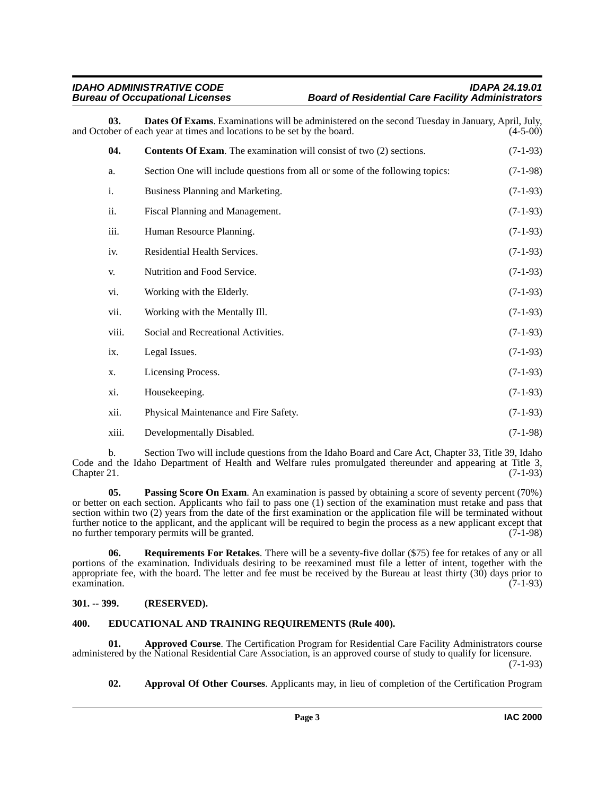#### *IDAHO ADMINISTRATIVE CODE IDAPA 24.19.01* **Board of Residential Care Facility Administrators**

**03. Dates Of Exams**. Examinations will be administered on the second Tuesday in January, April, July, ober of each vear at times and locations to be set by the board. (4-5-00) and October of each year at times and locations to be set by the board.

<span id="page-2-5"></span><span id="page-2-4"></span>

| 04.   | <b>Contents Of Exam.</b> The examination will consist of two (2) sections.   | $(7-1-93)$ |
|-------|------------------------------------------------------------------------------|------------|
| a.    | Section One will include questions from all or some of the following topics: | $(7-1-98)$ |
| i.    | Business Planning and Marketing.                                             | $(7-1-93)$ |
| ii.   | Fiscal Planning and Management.                                              | $(7-1-93)$ |
| iii.  | Human Resource Planning.                                                     | $(7-1-93)$ |
| iv.   | Residential Health Services.                                                 | $(7-1-93)$ |
| V.    | Nutrition and Food Service.                                                  | $(7-1-93)$ |
| vi.   | Working with the Elderly.                                                    | $(7-1-93)$ |
| vii.  | Working with the Mentally Ill.                                               | $(7-1-93)$ |
| viii. | Social and Recreational Activities.                                          | $(7-1-93)$ |
| ix.   | Legal Issues.                                                                | $(7-1-93)$ |
| X.    | Licensing Process.                                                           | $(7-1-93)$ |
| xi.   | Housekeeping.                                                                | $(7-1-93)$ |
| xii.  | Physical Maintenance and Fire Safety.                                        | $(7-1-93)$ |
| xiii. | Developmentally Disabled.                                                    | $(7-1-98)$ |

b. Section Two will include questions from the Idaho Board and Care Act, Chapter 33, Title 39, Idaho Code and the Idaho Department of Health and Welfare rules promulgated thereunder and appearing at Title 3, Chapter 21. (7-1-93)

<span id="page-2-7"></span>**05. Passing Score On Exam**. An examination is passed by obtaining a score of seventy percent (70%) or better on each section. Applicants who fail to pass one (1) section of the examination must retake and pass that section within two (2) years from the date of the first examination or the application file will be terminated without further notice to the applicant, and the applicant will be required to begin the process as a new applicant except that no further temporary permits will be granted. (7-1-98)

<span id="page-2-8"></span>**06. Requirements For Retakes**. There will be a seventy-five dollar (\$75) fee for retakes of any or all portions of the examination. Individuals desiring to be reexamined must file a letter of intent, together with the appropriate fee, with the board. The letter and fee must be received by the Bureau at least thirty (30) days prior to  $\alpha$  examination. (7-1-93)

#### <span id="page-2-0"></span>**301. -- 399. (RESERVED).**

#### <span id="page-2-6"></span><span id="page-2-1"></span>**400. EDUCATIONAL AND TRAINING REQUIREMENTS (Rule 400).**

**01. Approved Course**. The Certification Program for Residential Care Facility Administrators course administered by the National Residential Care Association, is an approved course of study to qualify for licensure. (7-1-93)

<span id="page-2-3"></span><span id="page-2-2"></span>**02. Approval Of Other Courses**. Applicants may, in lieu of completion of the Certification Program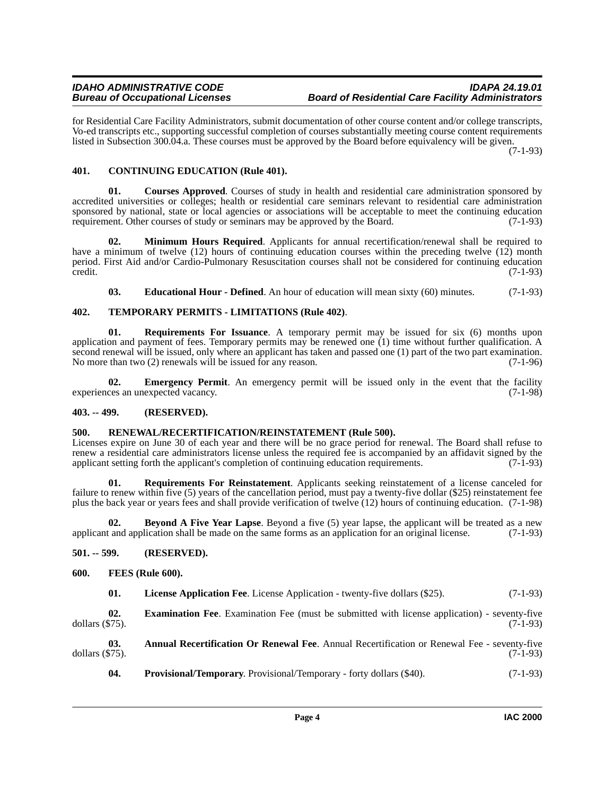for Residential Care Facility Administrators, submit documentation of other course content and/or college transcripts, Vo-ed transcripts etc., supporting successful completion of courses substantially meeting course content requirements listed in Subsection 300.04.a. These courses must be approved by the Board before equivalency will be given.

(7-1-93)

#### <span id="page-3-7"></span><span id="page-3-0"></span>**401. CONTINUING EDUCATION (Rule 401).**

<span id="page-3-8"></span>**01. Courses Approved**. Courses of study in health and residential care administration sponsored by accredited universities or colleges; health or residential care seminars relevant to residential care administration sponsored by national, state or local agencies or associations will be acceptable to meet the continuing education requirement. Other courses of study or seminars may be approved by the Board. (7-1-93)

**02. Minimum Hours Required**. Applicants for annual recertification/renewal shall be required to have a minimum of twelve (12) hours of continuing education courses within the preceding twelve (12) month period. First Aid and/or Cardio-Pulmonary Resuscitation courses shall not be considered for continuing education credit. (7-1-93)

<span id="page-3-18"></span><span id="page-3-16"></span><span id="page-3-9"></span>**03. Educational Hour - Defined**. An hour of education will mean sixty (60) minutes. (7-1-93)

#### **402. TEMPORARY PERMITS - LIMITATIONS (Rule 402)**.

**01. Requirements For Issuance**. A temporary permit may be issued for six (6) months upon application and payment of fees. Temporary permits may be renewed one (1) time without further qualification. A second renewal will be issued, only where an applicant has taken and passed one (1) part of the two part examination. No more than two (2) renewals will be issued for any reason. (7-1-96)

<span id="page-3-10"></span>**02. Emergency Permit**. An emergency permit will be issued only in the event that the facility ces an unexpected vacancy. (7-1-98) experiences an unexpected vacancy.

#### <span id="page-3-1"></span>**403. -- 499. (RESERVED).**

#### <span id="page-3-15"></span><span id="page-3-2"></span>**500. RENEWAL/RECERTIFICATION/REINSTATEMENT (Rule 500).**

Licenses expire on June 30 of each year and there will be no grace period for renewal. The Board shall refuse to renew a residential care administrators license unless the required fee is accompanied by an affidavit signed by the applicant setting forth the applicant's completion of continuing education requirements. (7-1-93) applicant setting forth the applicant's completion of continuing education requirements.

<span id="page-3-17"></span>**01. Requirements For Reinstatement**. Applicants seeking reinstatement of a license canceled for failure to renew within five (5) years of the cancellation period, must pay a twenty-five dollar (\$25) reinstatement fee plus the back year or years fees and shall provide verification of twelve (12) hours of continuing education. (7-1-98)

<span id="page-3-6"></span>**02. Beyond A Five Year Lapse**. Beyond a five (5) year lapse, the applicant will be treated as a new applicant and application shall be made on the same forms as an application for an original license. (7-1-93)

#### <span id="page-3-3"></span>**501. -- 599. (RESERVED).**

#### <span id="page-3-4"></span>**600. FEES (Rule 600).**

<span id="page-3-13"></span><span id="page-3-12"></span><span id="page-3-11"></span>

| 01. | <b>License Application Fee.</b> License Application - twenty-five dollars (\$25). |  |  |  | $(7-1-93)$ |
|-----|-----------------------------------------------------------------------------------|--|--|--|------------|
|-----|-----------------------------------------------------------------------------------|--|--|--|------------|

**02. Examination Fee**. Examination Fee (must be submitted with license application) - seventy-five dollars (\$75). (7-1-93)

**03. Annual Recertification Or Renewal Fee**. Annual Recertification or Renewal Fee - seventy-five dollars (\$75). (7-1-93)

<span id="page-3-14"></span><span id="page-3-5"></span>**04. Provisional/Temporary**. Provisional/Temporary - forty dollars (\$40). (7-1-93)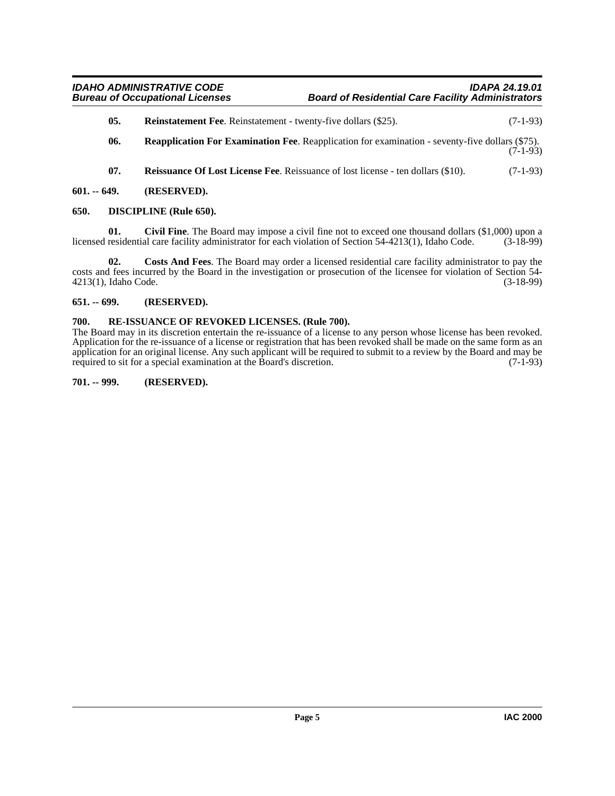- <span id="page-4-9"></span>**05.** Reinstatement Fee. Reinstatement - twenty-five dollars (\$25). (7-1-93)
- <span id="page-4-8"></span>**06. Reapplication For Examination Fee**. Reapplication for examination - seventy-five dollars (\$75). (7-1-93)
- <span id="page-4-10"></span><span id="page-4-7"></span><span id="page-4-5"></span>**07.** Reissuance Of Lost License Fee. Reissuance of lost license - ten dollars (\$10). (7-1-93)
- <span id="page-4-0"></span>**601. -- 649. (RESERVED).**

#### <span id="page-4-1"></span>**650. DISCIPLINE (Rule 650).**

**01.** Civil Fine. The Board may impose a civil fine not to exceed one thousand dollars (\$1,000) upon a residential care facility administrator for each violation of Section 54-4213(1). Idaho Code. (3-18-99) licensed residential care facility administrator for each violation of Section 54-4213(1), Idaho Code.

<span id="page-4-6"></span>**02. Costs And Fees**. The Board may order a licensed residential care facility administrator to pay the costs and fees incurred by the Board in the investigation or prosecution of the licensee for violation of Section 54-<br>4213(1), Idaho Code. (3-18-99) 4213(1), Idaho Code.

#### <span id="page-4-2"></span>**651. -- 699. (RESERVED).**

#### <span id="page-4-11"></span><span id="page-4-3"></span>**700. RE-ISSUANCE OF REVOKED LICENSES. (Rule 700).**

The Board may in its discretion entertain the re-issuance of a license to any person whose license has been revoked. Application for the re-issuance of a license or registration that has been revoked shall be made on the same form as an application for an original license. Any such applicant will be required to submit to a review by the Board and may be required to sit for a special examination at the Board's discretion. (7-1-93)

#### <span id="page-4-4"></span>**701. -- 999. (RESERVED).**